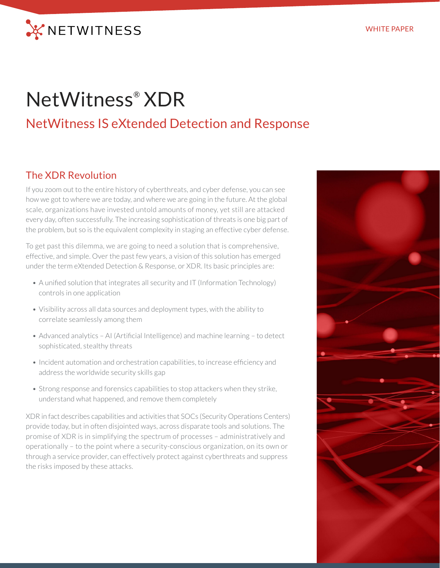

# NetWitness® XDR

# NetWitness IS eXtended Detection and Response

#### The XDR Revolution

If you zoom out to the entire history of cyberthreats, and cyber defense, you can see how we got to where we are today, and where we are going in the future. At the global scale, organizations have invested untold amounts of money, yet still are attacked every day, often successfully. The increasing sophistication of threats is one big part of the problem, but so is the equivalent complexity in staging an effective cyber defense.

To get past this dilemma, we are going to need a solution that is comprehensive, effective, and simple. Over the past few years, a vision of this solution has emerged under the term eXtended Detection & Response, or XDR. Its basic principles are:

- A unified solution that integrates all security and IT (Information Technology) controls in one application
- Visibility across all data sources and deployment types, with the ability to correlate seamlessly among them
- Advanced analytics AI (Artificial Intelligence) and machine learning to detect sophisticated, stealthy threats
- Incident automation and orchestration capabilities, to increase efficiency and address the worldwide security skills gap
- Strong response and forensics capabilities to stop attackers when they strike, understand what happened, and remove them completely

XDR in fact describes capabilities and activities that SOCs (Security Operations Centers) provide today, but in often disjointed ways, across disparate tools and solutions. The promise of XDR is in simplifying the spectrum of processes – administratively and operationally – to the point where a security-conscious organization, on its own or through a service provider, can effectively protect against cyberthreats and suppress the risks imposed by these attacks.

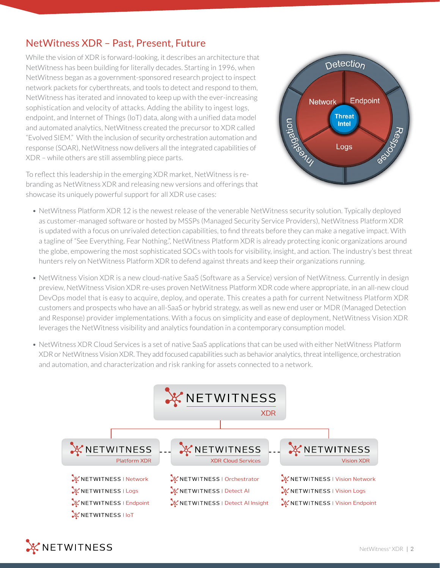## NetWitness XDR – Past, Present, Future

While the vision of XDR is forward-looking, it describes an architecture that NetWitness has been building for literally decades. Starting in 1996, when NetWitness began as a government-sponsored research project to inspect network packets for cyberthreats, and tools to detect and respond to them, NetWitness has iterated and innovated to keep up with the ever-increasing sophistication and velocity of attacks. Adding the ability to ingest logs, endpoint, and Internet of Things (IoT) data, along with a unified data model and automated analytics, NetWitness created the precursor to XDR called "Evolved SIEM." With the inclusion of security orchestration automation and response (SOAR), NetWitness now delivers all the integrated capabilities of XDR – while others are still assembling piece parts.

To reflect this leadership in the emerging XDR market, NetWitness is rebranding as NetWitness XDR and releasing new versions and offerings that showcase its uniquely powerful support for all XDR use cases:



- NetWitness Platform XDR 12 is the newest release of the venerable NetWitness security solution. Typically deployed as customer-managed software or hosted by MSSPs (Managed Security Service Providers), NetWitness Platform XDR is updated with a focus on unrivaled detection capabilities, to find threats before they can make a negative impact. With a tagline of "See Everything. Fear Nothing.", NetWitness Platform XDR is already protecting iconic organizations around the globe, empowering the most sophisticated SOCs with tools for visibility, insight, and action. The industry's best threat hunters rely on NetWitness Platform XDR to defend against threats and keep their organizations running.
- NetWitness Vision XDR is a new cloud-native SaaS (Software as a Service) version of NetWitness. Currently in design preview, NetWitness Vision XDR re-uses proven NetWitness Platform XDR code where appropriate, in an all-new cloud DevOps model that is easy to acquire, deploy, and operate. This creates a path for current Netwitness Platform XDR customers and prospects who have an all-SaaS or hybrid strategy, as well as new end user or MDR (Managed Detection and Response) provider implementations. With a focus on simplicity and ease of deployment, NetWitness Vision XDR leverages the NetWitness visibility and analytics foundation in a contemporary consumption model.
- NetWitness XDR Cloud Services is a set of native SaaS applications that can be used with either NetWitness Platform XDR or NetWitness Vision XDR. They add focused capabilities such as behavior analytics, threat intelligence, orchestration and automation, and characterization and risk ranking for assets connected to a network.



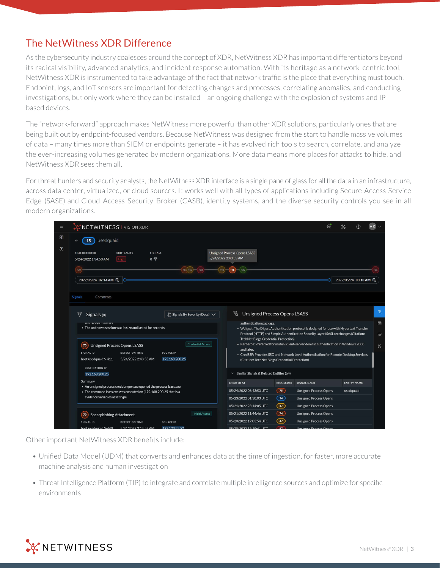## The NetWitness XDR Difference

As the cybersecurity industry coalesces around the concept of XDR, NetWitness XDR has important differentiators beyond its radical visibility, advanced analytics, and incident response automation. With its heritage as a network-centric tool, NetWitness XDR is instrumented to take advantage of the fact that network traffic is the place that everything must touch. Endpoint, logs, and IoT sensors are important for detecting changes and processes, correlating anomalies, and conducting investigations, but only work where they can be installed – an ongoing challenge with the explosion of systems and IPbased devices.

The "network-forward" approach makes NetWitness more powerful than other XDR solutions, particularly ones that are being built out by endpoint-focused vendors. Because NetWitness was designed from the start to handle massive volumes of data – many times more than SIEM or endpoints generate – it has evolved rich tools to search, correlate, and analyze the ever-increasing volumes generated by modern organizations. More data means more places for attacks to hide, and NetWitness XDR sees them all.

For threat hunters and security analysts, the NetWitness XDR interface is a single pane of glass for all the data in an infrastructure, across data center, virtualized, or cloud sources. It works well with all types of applications including Secure Access Service Edge (SASE) and Cloud Access Security Broker (CASB), identity systems, and the diverse security controls you see in all modern organizations.

| $\equiv$ | NETWITNESS   VISION XDR                                                                                                                                                                                                                                                                                                                                                                                                                                                                     | ⊛ | 器 |                     |                               |
|----------|---------------------------------------------------------------------------------------------------------------------------------------------------------------------------------------------------------------------------------------------------------------------------------------------------------------------------------------------------------------------------------------------------------------------------------------------------------------------------------------------|---|---|---------------------|-------------------------------|
| 86<br>AB | usedquaid<br>15                                                                                                                                                                                                                                                                                                                                                                                                                                                                             |   |   |                     |                               |
|          | <b>Unsigned Process Opens LSASS</b><br><b>TIME DETECTED</b><br><b>SIGNALS</b><br><b>CRITICALITY</b><br>5/24/2022 2:43:53 AM<br>$8 \nbrace{8}$<br>5/24/2022 1:34:53 AM<br>High                                                                                                                                                                                                                                                                                                               |   |   |                     |                               |
|          | $+65 + 45$<br>$-493$<br>$+40)$<br>$+75$<br>2022/05/24 02:14 AM 岛                                                                                                                                                                                                                                                                                                                                                                                                                            |   |   | 2022/05/24 03:10 AM |                               |
|          | <b>Signals</b><br>Comments                                                                                                                                                                                                                                                                                                                                                                                                                                                                  |   |   |                     |                               |
|          | ରି<br><b>Unsigned Process Opens LSASS</b><br>Signals (8)<br>$\downarrow$ <sup>8</sup> Signals By Severity (Desc) $\vee$                                                                                                                                                                                                                                                                                                                                                                     |   |   |                     | $\widehat{\mathcal{D}}$       |
|          | authentication package.<br>with Duyu marware<br>. The unknown session was in size and lasted for seconds<br>• Wdigest: The Digest Authentication protocol is designed for use with Hypertext Transfer<br>Protocol (HTTP) and Simple Authentication Security Layer (SASL) exchanges.(Citation:                                                                                                                                                                                               |   |   |                     | 圖<br>$\overline{\mathcal{G}}$ |
|          | TechNet Blogs Credential Protection)<br>• Kerberos: Preferred for mutual client-server domain authentication in Windows 2000<br><b>Credential Access</b><br>75<br><b>Unsigned Process Opens LSASS</b><br>and later.<br>SIGNAL ID<br><b>DETECTION TIME</b><br><b>SOURCE IP</b><br>• CredSSP: Provides SSO and Network Level Authentication for Remote Desktop Services.<br>192.168.200.25<br>host:usedquaid:S-411<br>5/24/2022 2:43:53 AM<br>(Citation: TechNet Blogs Credential Protection) |   |   |                     | $\theta$                      |
|          | <b>DESTINATION IP</b><br>$\vee$ Similar Signals & Related Entities (64)<br>192.168.200.25                                                                                                                                                                                                                                                                                                                                                                                                   |   |   |                     |                               |
|          | Summary<br><b>CREATED AT</b><br><b>RISK SCORE</b><br><b>SIGNAL NAME</b>                                                                                                                                                                                                                                                                                                                                                                                                                     |   |   | <b>ENTITY NAME</b>  |                               |
|          | • An unsigned process creddumper.exe opened the process Isass.exe<br>75)<br>05/24/2022 06:43:53 UTC<br><b>Unsigned Process Opens</b><br>• The command Isass.exe was executed on {192.168.200.25 that is a                                                                                                                                                                                                                                                                                   |   |   | usedquaid           |                               |
|          | evidence.variables.assetType<br>$\boxed{14}$<br>05/23/2022 01:30:03 UTC<br><b>Unsigned Process Opens</b>                                                                                                                                                                                                                                                                                                                                                                                    |   |   |                     |                               |
|          | 47 <sup>2</sup><br>05/21/2022 23:14:05 UTC<br><b>Unsigned Process Opens</b>                                                                                                                                                                                                                                                                                                                                                                                                                 |   |   |                     |                               |
|          | 74<br>05/21/2022 11:44:46 UTC<br><b>Unsigned Process Opens</b><br><b>Initial Access</b><br>70<br><b>Spearphishing Attachment</b>                                                                                                                                                                                                                                                                                                                                                            |   |   |                     |                               |
|          | 47 <sup>2</sup><br>05/20/2022 19:03:54 UTC<br><b>Unsigned Process Opens</b><br><b>SIGNAL ID</b><br><b>DETECTION TIME</b><br><b>SOURCE IP</b>                                                                                                                                                                                                                                                                                                                                                |   |   |                     |                               |
|          | hostureadquaid:S-440<br>5/24/2022224445344<br>123123552<br>05/20/2022 12:10:41 LITC<br>07<br><b>Lincianod Prococc Oper</b>                                                                                                                                                                                                                                                                                                                                                                  |   |   |                     |                               |

Other important NetWitness XDR benefits include:

- Unified Data Model (UDM) that converts and enhances data at the time of ingestion, for faster, more accurate machine analysis and human investigation
- Threat Intelligence Platform (TIP) to integrate and correlate multiple intelligence sources and optimize for specific environments